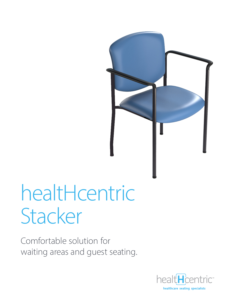

# healtHcentric Stacker

Comfortable solution for waiting areas and guest seating.